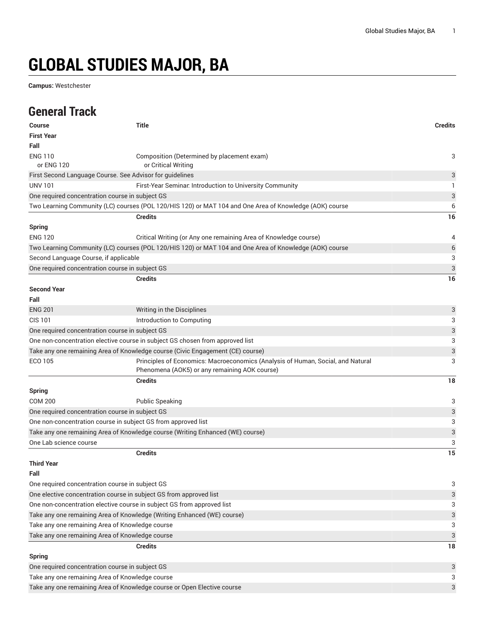# **GLOBAL STUDIES MAJOR, BA**

**Campus:** Westchester

### **General Track**

| Course                                                                 | <b>Title</b>                                                                                            | <b>Credits</b>            |
|------------------------------------------------------------------------|---------------------------------------------------------------------------------------------------------|---------------------------|
| <b>First Year</b>                                                      |                                                                                                         |                           |
| Fall                                                                   |                                                                                                         |                           |
| <b>ENG 110</b>                                                         | Composition (Determined by placement exam)                                                              | 3                         |
| or ENG 120                                                             | or Critical Writing                                                                                     |                           |
| First Second Language Course. See Advisor for guidelines               |                                                                                                         | 3                         |
| <b>UNV 101</b>                                                         | First-Year Seminar. Introduction to University Community                                                | 1.                        |
| One required concentration course in subject GS                        |                                                                                                         | 3                         |
|                                                                        | Two Learning Community (LC) courses (POL 120/HIS 120) or MAT 104 and One Area of Knowledge (AOK) course | 6                         |
|                                                                        | <b>Credits</b>                                                                                          | 16                        |
| <b>Spring</b>                                                          |                                                                                                         |                           |
| <b>ENG 120</b>                                                         | Critical Writing (or Any one remaining Area of Knowledge course)                                        | 4                         |
|                                                                        | Two Learning Community (LC) courses (POL 120/HIS 120) or MAT 104 and One Area of Knowledge (AOK) course | $6\,$                     |
| Second Language Course, if applicable                                  |                                                                                                         | 3                         |
| One required concentration course in subject GS                        |                                                                                                         | $\ensuremath{\mathsf{3}}$ |
|                                                                        | <b>Credits</b>                                                                                          | 16                        |
| <b>Second Year</b>                                                     |                                                                                                         |                           |
| Fall                                                                   |                                                                                                         |                           |
| <b>ENG 201</b>                                                         | Writing in the Disciplines                                                                              | 3                         |
| <b>CIS 101</b>                                                         | Introduction to Computing                                                                               | 3                         |
| One required concentration course in subject GS                        |                                                                                                         | 3                         |
|                                                                        | One non-concentration elective course in subject GS chosen from approved list                           | 3                         |
|                                                                        | Take any one remaining Area of Knowledge course (Civic Engagement (CE) course)                          | 3                         |
| <b>ECO 105</b>                                                         | Principles of Economics: Macroeconomics (Analysis of Human, Social, and Natural                         | 3                         |
|                                                                        | Phenomena (AOK5) or any remaining AOK course)                                                           |                           |
|                                                                        | <b>Credits</b>                                                                                          | 18                        |
| <b>Spring</b>                                                          |                                                                                                         |                           |
| <b>COM 200</b>                                                         | <b>Public Speaking</b>                                                                                  | 3                         |
| One required concentration course in subject GS                        |                                                                                                         | 3                         |
| One non-concentration course in subject GS from approved list          |                                                                                                         | 3                         |
|                                                                        | Take any one remaining Area of Knowledge course (Writing Enhanced (WE) course)                          | $\ensuremath{\mathsf{3}}$ |
| One Lab science course                                                 |                                                                                                         | 3                         |
|                                                                        | <b>Credits</b>                                                                                          | 15                        |
| <b>Third Year</b>                                                      |                                                                                                         |                           |
| Fall                                                                   |                                                                                                         |                           |
| One required concentration course in subject GS                        |                                                                                                         | 3                         |
| One elective concentration course in subject GS from approved list     |                                                                                                         | 3                         |
| One non-concentration elective course in subject GS from approved list |                                                                                                         | 3                         |
|                                                                        | Take any one remaining Area of Knowledge (Writing Enhanced (WE) course)                                 | 3                         |
| Take any one remaining Area of Knowledge course                        |                                                                                                         | 3                         |
| Take any one remaining Area of Knowledge course                        |                                                                                                         | 3                         |
|                                                                        | <b>Credits</b>                                                                                          | 18                        |
| <b>Spring</b>                                                          |                                                                                                         |                           |
| One required concentration course in subject GS                        |                                                                                                         | 3                         |
| Take any one remaining Area of Knowledge course                        |                                                                                                         | 3                         |
|                                                                        | Take any one remaining Area of Knowledge course or Open Elective course                                 | 3                         |
|                                                                        |                                                                                                         |                           |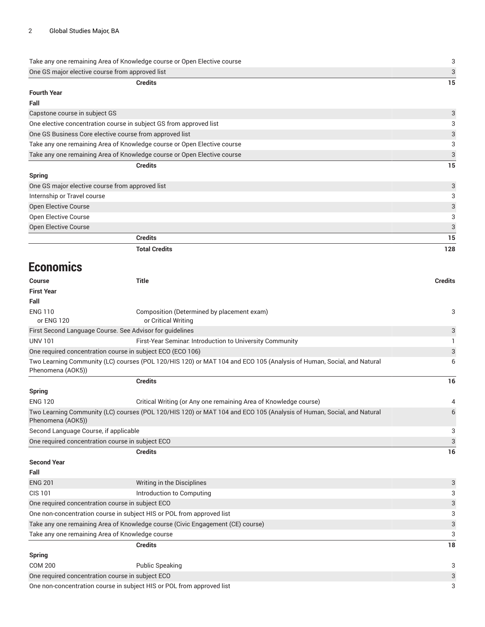| Take any one remaining Area of Knowledge course or Open Elective course<br>One GS major elective course from approved list |  |
|----------------------------------------------------------------------------------------------------------------------------|--|
|                                                                                                                            |  |
| Fourth Year                                                                                                                |  |
| Fall                                                                                                                       |  |
| Capstone course in subject GS                                                                                              |  |

| One elective concentration course in subject GS from approved list      | 3             |
|-------------------------------------------------------------------------|---------------|
| One GS Business Core elective course from approved list                 | $\mathcal{R}$ |
| Take any one remaining Area of Knowledge course or Open Elective course | २             |
| Take any one remaining Area of Knowledge course or Open Elective course | $\mathcal{L}$ |
| Credits                                                                 | 15.           |

| Spring                                          |     |
|-------------------------------------------------|-----|
| One GS major elective course from approved list | 3   |
| Internship or Travel course                     |     |
| Open Elective Course                            |     |
| Open Elective Course                            |     |
| Open Elective Course                            | 3   |
| <b>Credits</b>                                  | 15  |
| <b>Total Credits</b>                            | 128 |

#### **Economics**

| <b>Course</b>                         | <b>Title</b>                                                                                                         | <b>Credits</b> |
|---------------------------------------|----------------------------------------------------------------------------------------------------------------------|----------------|
| <b>First Year</b>                     |                                                                                                                      |                |
| Fall                                  |                                                                                                                      |                |
| <b>ENG 110</b>                        | Composition (Determined by placement exam)                                                                           | 3              |
| or ENG 120                            | or Critical Writing                                                                                                  |                |
|                                       | First Second Language Course. See Advisor for guidelines                                                             | 3              |
| <b>UNV 101</b>                        | First-Year Seminar. Introduction to University Community                                                             |                |
|                                       | One required concentration course in subject ECO (ECO 106)                                                           | 3              |
| Phenomena (AOK5))                     | Two Learning Community (LC) courses (POL 120/HIS 120) or MAT 104 and ECO 105 (Analysis of Human, Social, and Natural | 6              |
|                                       | <b>Credits</b>                                                                                                       | 16             |
| <b>Spring</b>                         |                                                                                                                      |                |
| <b>ENG 120</b>                        | Critical Writing (or Any one remaining Area of Knowledge course)                                                     | 4              |
| Phenomena (AOK5))                     | Two Learning Community (LC) courses (POL 120/HIS 120) or MAT 104 and ECO 105 (Analysis of Human, Social, and Natural | 6              |
| Second Language Course, if applicable |                                                                                                                      | 3              |
|                                       | One required concentration course in subject ECO                                                                     | 3              |
|                                       | <b>Credits</b>                                                                                                       | 16             |
| <b>Second Year</b>                    |                                                                                                                      |                |
| Fall                                  |                                                                                                                      |                |
| <b>ENG 201</b>                        | Writing in the Disciplines                                                                                           | 3              |
| <b>CIS 101</b>                        | Introduction to Computing                                                                                            | 3              |
|                                       | One required concentration course in subject ECO                                                                     | 3              |
|                                       | One non-concentration course in subject HIS or POL from approved list                                                |                |
|                                       | Take any one remaining Area of Knowledge course (Civic Engagement (CE) course)                                       | 3              |

Take any one remaining Area of Knowledge course 3 **Credits 18 Spring** COM 200 Public Speaking 3 One required concentration course in subject ECO 3 3

One non-concentration course in subject HIS or POL from approved list 33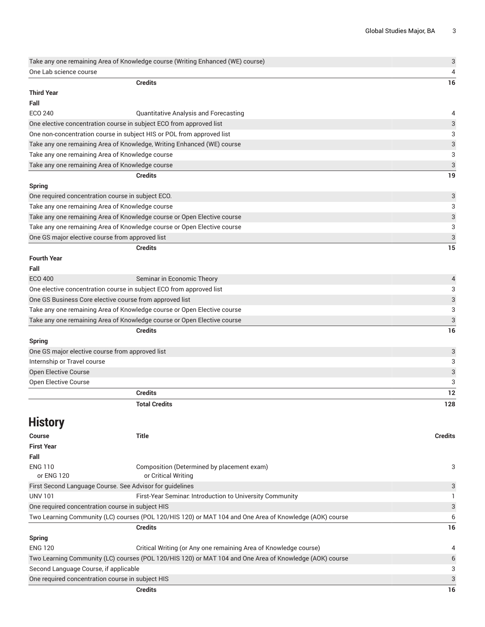| Take any one remaining Area of Knowledge course (Writing Enhanced (WE) course) |                                                                                                         | $\ensuremath{\mathsf{3}}$ |
|--------------------------------------------------------------------------------|---------------------------------------------------------------------------------------------------------|---------------------------|
| One Lab science course                                                         |                                                                                                         | 4                         |
|                                                                                | <b>Credits</b>                                                                                          | 16                        |
| <b>Third Year</b>                                                              |                                                                                                         |                           |
| Fall                                                                           |                                                                                                         |                           |
| ECO 240                                                                        | Quantitative Analysis and Forecasting                                                                   | 4                         |
|                                                                                | One elective concentration course in subject ECO from approved list                                     | 3                         |
|                                                                                | One non-concentration course in subject HIS or POL from approved list                                   | 3                         |
|                                                                                | Take any one remaining Area of Knowledge, Writing Enhanced (WE) course                                  | 3                         |
| Take any one remaining Area of Knowledge course                                |                                                                                                         | 3                         |
| Take any one remaining Area of Knowledge course                                |                                                                                                         | 3                         |
|                                                                                | <b>Credits</b>                                                                                          | 19                        |
| <b>Spring</b>                                                                  |                                                                                                         |                           |
| One required concentration course in subject ECO.                              |                                                                                                         | 3                         |
| Take any one remaining Area of Knowledge course                                |                                                                                                         | 3                         |
|                                                                                | Take any one remaining Area of Knowledge course or Open Elective course                                 | 3                         |
|                                                                                | Take any one remaining Area of Knowledge course or Open Elective course                                 | 3                         |
| One GS major elective course from approved list                                |                                                                                                         | 3                         |
|                                                                                | <b>Credits</b>                                                                                          | 15                        |
| <b>Fourth Year</b>                                                             |                                                                                                         |                           |
| Fall                                                                           |                                                                                                         |                           |
| <b>ECO 400</b>                                                                 | Seminar in Economic Theory                                                                              | 4                         |
|                                                                                | One elective concentration course in subject ECO from approved list                                     | 3                         |
|                                                                                | One GS Business Core elective course from approved list                                                 | 3                         |
|                                                                                | Take any one remaining Area of Knowledge course or Open Elective course                                 | 3                         |
|                                                                                | Take any one remaining Area of Knowledge course or Open Elective course                                 | 3                         |
|                                                                                | <b>Credits</b>                                                                                          | 16                        |
| <b>Spring</b>                                                                  |                                                                                                         |                           |
| One GS major elective course from approved list                                |                                                                                                         | 3                         |
| Internship or Travel course                                                    |                                                                                                         | 3                         |
| Open Elective Course                                                           |                                                                                                         | 3                         |
| Open Elective Course                                                           |                                                                                                         | 3                         |
|                                                                                | <b>Credits</b>                                                                                          | 12                        |
|                                                                                | <b>Total Credits</b>                                                                                    | 128                       |
|                                                                                |                                                                                                         |                           |
| <b>History</b>                                                                 |                                                                                                         |                           |
| Course                                                                         | <b>Title</b>                                                                                            | <b>Credits</b>            |
| <b>First Year</b>                                                              |                                                                                                         |                           |
| Fall                                                                           |                                                                                                         |                           |
| <b>ENG 110</b>                                                                 | Composition (Determined by placement exam)                                                              | 3                         |
| or ENG 120                                                                     | or Critical Writing                                                                                     |                           |
|                                                                                | First Second Language Course. See Advisor for guidelines                                                | 3                         |
| <b>UNV 101</b>                                                                 | First-Year Seminar. Introduction to University Community                                                | 1                         |
| One required concentration course in subject HIS                               |                                                                                                         | 3                         |
|                                                                                | Two Learning Community (LC) courses (POL 120/HIS 120) or MAT 104 and One Area of Knowledge (AOK) course | 6                         |
|                                                                                | <b>Credits</b>                                                                                          | 16                        |
| <b>Spring</b>                                                                  |                                                                                                         |                           |
| <b>ENG 120</b>                                                                 | Critical Writing (or Any one remaining Area of Knowledge course)                                        | 4                         |
|                                                                                | Two Learning Community (LC) courses (POL 120/HIS 120) or MAT 104 and One Area of Knowledge (AOK) course | 6                         |
| Second Language Course, if applicable                                          |                                                                                                         | 3                         |
| One required concentration course in subject HIS                               |                                                                                                         | 3                         |
|                                                                                | <b>Credits</b>                                                                                          | 16                        |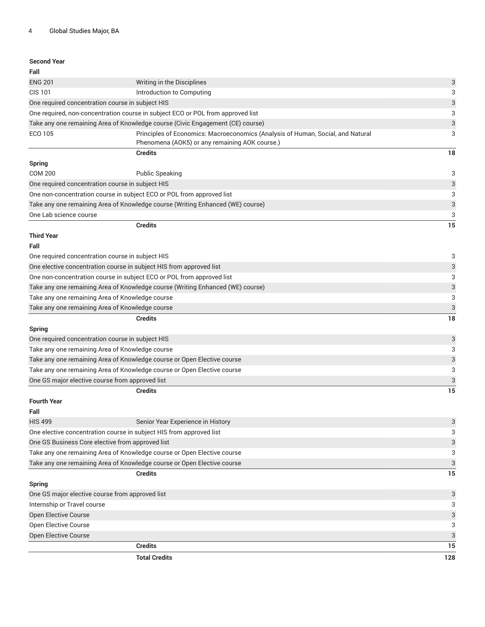| <b>Second Year</b>                              |                                                                                                                                   |     |
|-------------------------------------------------|-----------------------------------------------------------------------------------------------------------------------------------|-----|
| Fall                                            |                                                                                                                                   |     |
| <b>ENG 201</b>                                  | Writing in the Disciplines                                                                                                        | 3   |
| <b>CIS 101</b>                                  | Introduction to Computing                                                                                                         | 3   |
|                                                 | One required concentration course in subject HIS                                                                                  | 3   |
|                                                 | One required, non-concentration course in subject ECO or POL from approved list                                                   | 3   |
|                                                 | Take any one remaining Area of Knowledge course (Civic Engagement (CE) course)                                                    | 3   |
| ECO 105                                         | Principles of Economics: Macroeconomics (Analysis of Human, Social, and Natural<br>Phenomena (AOK5) or any remaining AOK course.) | 3   |
|                                                 | <b>Credits</b>                                                                                                                    | 18  |
| <b>Spring</b>                                   |                                                                                                                                   |     |
| <b>COM 200</b>                                  | <b>Public Speaking</b>                                                                                                            | 3   |
|                                                 | One required concentration course in subject HIS                                                                                  | 3   |
|                                                 | One non-concentration course in subject ECO or POL from approved list                                                             | 3   |
|                                                 | Take any one remaining Area of Knowledge course (Writing Enhanced (WE) course)                                                    | 3   |
| One Lab science course                          |                                                                                                                                   | 3   |
|                                                 | <b>Credits</b>                                                                                                                    | 15  |
| <b>Third Year</b>                               |                                                                                                                                   |     |
| Fall                                            |                                                                                                                                   |     |
|                                                 | One required concentration course in subject HIS                                                                                  | 3   |
|                                                 | One elective concentration course in subject HIS from approved list                                                               | 3   |
|                                                 | One non-concentration course in subject ECO or POL from approved list                                                             | 3   |
|                                                 | Take any one remaining Area of Knowledge course (Writing Enhanced (WE) course)                                                    | 3   |
| Take any one remaining Area of Knowledge course |                                                                                                                                   | 3   |
|                                                 | Take any one remaining Area of Knowledge course                                                                                   | 3   |
|                                                 | <b>Credits</b>                                                                                                                    | 18  |
| <b>Spring</b>                                   |                                                                                                                                   |     |
|                                                 | One required concentration course in subject HIS                                                                                  | 3   |
|                                                 | Take any one remaining Area of Knowledge course                                                                                   | 3   |
|                                                 | Take any one remaining Area of Knowledge course or Open Elective course                                                           | 3   |
|                                                 | Take any one remaining Area of Knowledge course or Open Elective course                                                           | 3   |
|                                                 | One GS major elective course from approved list                                                                                   | 3   |
|                                                 | <b>Credits</b>                                                                                                                    | 15  |
| <b>Fourth Year</b>                              |                                                                                                                                   |     |
| Fall                                            |                                                                                                                                   |     |
| <b>HIS 499</b>                                  | Senior Year Experience in History                                                                                                 | 3   |
|                                                 | One elective concentration course in subject HIS from approved list                                                               | 3   |
|                                                 | One GS Business Core elective from approved list                                                                                  | 3   |
|                                                 | Take any one remaining Area of Knowledge course or Open Elective course                                                           | 3   |
|                                                 | Take any one remaining Area of Knowledge course or Open Elective course                                                           | 3   |
|                                                 | <b>Credits</b>                                                                                                                    | 15  |
| <b>Spring</b>                                   |                                                                                                                                   |     |
|                                                 | One GS major elective course from approved list                                                                                   | 3   |
| Internship or Travel course                     |                                                                                                                                   | 3   |
| <b>Open Elective Course</b>                     |                                                                                                                                   | 3   |
| Open Elective Course                            |                                                                                                                                   | 3   |
| Open Elective Course                            |                                                                                                                                   | 3   |
|                                                 | <b>Credits</b>                                                                                                                    | 15  |
|                                                 | <b>Total Credits</b>                                                                                                              | 128 |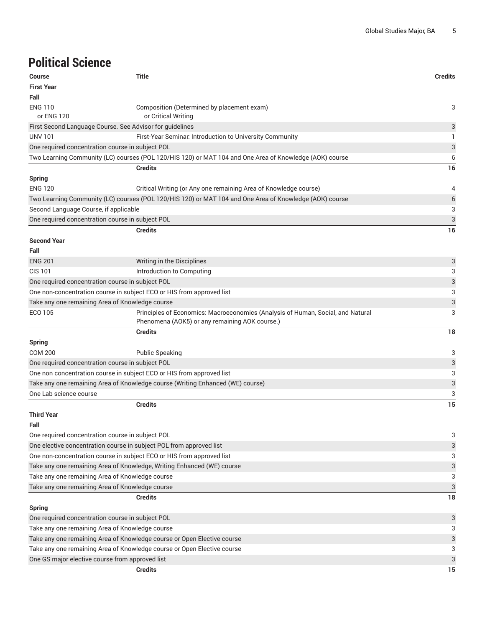## **Political Science**

| <b>Course</b>                                                         | <b>Title</b>                                                                                                                      | <b>Credits</b>            |
|-----------------------------------------------------------------------|-----------------------------------------------------------------------------------------------------------------------------------|---------------------------|
| <b>First Year</b>                                                     |                                                                                                                                   |                           |
| Fall                                                                  |                                                                                                                                   |                           |
| <b>ENG 110</b>                                                        | Composition (Determined by placement exam)                                                                                        | 3                         |
| or ENG 120                                                            | or Critical Writing                                                                                                               |                           |
| First Second Language Course. See Advisor for guidelines              |                                                                                                                                   | 3                         |
| <b>UNV 101</b>                                                        | First-Year Seminar. Introduction to University Community                                                                          | -1                        |
| One required concentration course in subject POL                      |                                                                                                                                   | 3                         |
|                                                                       | Two Learning Community (LC) courses (POL 120/HIS 120) or MAT 104 and One Area of Knowledge (AOK) course                           | 6                         |
|                                                                       | <b>Credits</b>                                                                                                                    | 16                        |
| <b>Spring</b>                                                         |                                                                                                                                   |                           |
| <b>ENG 120</b>                                                        | Critical Writing (or Any one remaining Area of Knowledge course)                                                                  | 4                         |
|                                                                       | Two Learning Community (LC) courses (POL 120/HIS 120) or MAT 104 and One Area of Knowledge (AOK) course                           | $6\phantom{1}6$           |
| Second Language Course, if applicable                                 |                                                                                                                                   | 3                         |
| One required concentration course in subject POL                      |                                                                                                                                   | $\ensuremath{\mathsf{3}}$ |
|                                                                       | <b>Credits</b>                                                                                                                    | 16                        |
| <b>Second Year</b>                                                    |                                                                                                                                   |                           |
| Fall                                                                  |                                                                                                                                   |                           |
| <b>ENG 201</b>                                                        | Writing in the Disciplines                                                                                                        | 3                         |
| <b>CIS 101</b>                                                        | Introduction to Computing                                                                                                         | 3                         |
| One required concentration course in subject POL                      |                                                                                                                                   | 3                         |
| One non-concentration course in subject ECO or HIS from approved list |                                                                                                                                   | 3                         |
| Take any one remaining Area of Knowledge course                       |                                                                                                                                   | 3                         |
| ECO 105                                                               | Principles of Economics: Macroeconomics (Analysis of Human, Social, and Natural<br>Phenomena (AOK5) or any remaining AOK course.) | 3                         |
|                                                                       | <b>Credits</b>                                                                                                                    | 18                        |
| <b>Spring</b>                                                         |                                                                                                                                   |                           |
| <b>COM 200</b>                                                        | <b>Public Speaking</b>                                                                                                            | 3                         |
| One required concentration course in subject POL                      |                                                                                                                                   | 3                         |
| One non concentration course in subject ECO or HIS from approved list |                                                                                                                                   | 3                         |
|                                                                       | Take any one remaining Area of Knowledge course (Writing Enhanced (WE) course)                                                    | $\ensuremath{\mathsf{3}}$ |
| One Lab science course                                                |                                                                                                                                   | 3                         |
|                                                                       | <b>Credits</b>                                                                                                                    | 15                        |
| <b>Third Year</b>                                                     |                                                                                                                                   |                           |
| Fall                                                                  |                                                                                                                                   |                           |
| One required concentration course in subject POL                      |                                                                                                                                   | 3                         |
| One elective concentration course in subject POL from approved list   |                                                                                                                                   | 3                         |
| One non-concentration course in subject ECO or HIS from approved list |                                                                                                                                   | 3                         |
|                                                                       | Take any one remaining Area of Knowledge, Writing Enhanced (WE) course                                                            | 3                         |
| Take any one remaining Area of Knowledge course                       |                                                                                                                                   | 3                         |
| Take any one remaining Area of Knowledge course                       |                                                                                                                                   | 3                         |
|                                                                       | <b>Credits</b>                                                                                                                    | 18                        |
| <b>Spring</b>                                                         |                                                                                                                                   |                           |
| One required concentration course in subject POL                      |                                                                                                                                   | 3                         |
| Take any one remaining Area of Knowledge course                       |                                                                                                                                   | 3                         |
|                                                                       | Take any one remaining Area of Knowledge course or Open Elective course                                                           | 3                         |
|                                                                       | Take any one remaining Area of Knowledge course or Open Elective course                                                           | 3                         |
| One GS major elective course from approved list                       |                                                                                                                                   | 3                         |
|                                                                       | <b>Credits</b>                                                                                                                    | 15                        |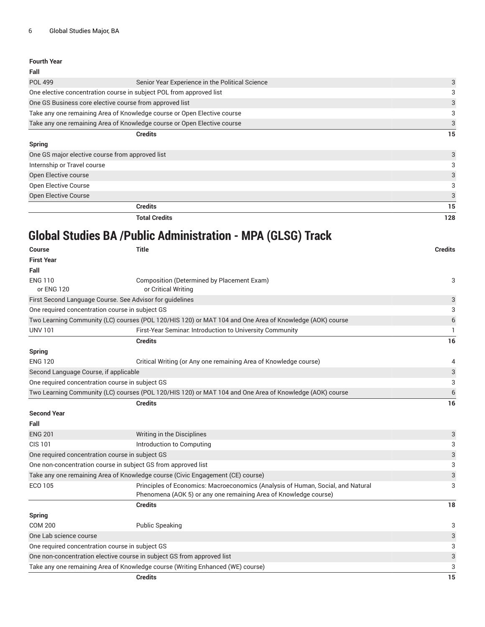| Fall                                                                    |                                                                         |    |
|-------------------------------------------------------------------------|-------------------------------------------------------------------------|----|
| <b>POL 499</b>                                                          | Senior Year Experience in the Political Science                         | 3  |
|                                                                         | One elective concentration course in subject POL from approved list     | 3  |
|                                                                         | One GS Business core elective course from approved list                 | 3  |
| Take any one remaining Area of Knowledge course or Open Elective course |                                                                         | 3  |
|                                                                         | Take any one remaining Area of Knowledge course or Open Elective course | 3  |
|                                                                         | <b>Credits</b>                                                          | 15 |
| <b>Spring</b>                                                           |                                                                         |    |
|                                                                         | One GS major elective course from approved list                         | 3  |
| Internship or Travel course                                             |                                                                         |    |
| Open Elective course                                                    |                                                                         | 3  |
| <b>Open Elective Course</b>                                             |                                                                         | 3  |
| <b>Open Elective Course</b>                                             |                                                                         | 3  |
|                                                                         | <b>Credits</b>                                                          | 15 |

**Total Credits 128**

## **Global Studies BA /Public Administration - MPA (GLSG) Track**

| <b>Course</b>                                   | <b>Title</b>                                                                                            | <b>Credits</b> |
|-------------------------------------------------|---------------------------------------------------------------------------------------------------------|----------------|
| <b>First Year</b>                               |                                                                                                         |                |
| Fall                                            |                                                                                                         |                |
| <b>ENG 110</b>                                  | Composition (Determined by Placement Exam)                                                              | 3              |
| or ENG 120                                      | or Critical Writing                                                                                     |                |
|                                                 | First Second Language Course. See Advisor for guidelines                                                | 3              |
| One required concentration course in subject GS |                                                                                                         | 3              |
|                                                 | Two Learning Community (LC) courses (POL 120/HIS 120) or MAT 104 and One Area of Knowledge (AOK) course | $\,$ 6 $\,$    |
| <b>UNV 101</b>                                  | First-Year Seminar. Introduction to University Community                                                | -1             |
|                                                 | <b>Credits</b>                                                                                          | 16             |
| <b>Spring</b>                                   |                                                                                                         |                |
| <b>ENG 120</b>                                  | Critical Writing (or Any one remaining Area of Knowledge course)                                        | 4              |
| Second Language Course, if applicable           |                                                                                                         | 3              |
| One required concentration course in subject GS |                                                                                                         | 3              |
|                                                 | Two Learning Community (LC) courses (POL 120/HIS 120) or MAT 104 and One Area of Knowledge (AOK) course | 6              |
|                                                 | <b>Credits</b>                                                                                          | 16             |
| <b>Second Year</b>                              |                                                                                                         |                |
| Fall                                            |                                                                                                         |                |
| <b>ENG 201</b>                                  | Writing in the Disciplines                                                                              | 3              |
| <b>CIS 101</b>                                  | Introduction to Computing                                                                               | 3              |
| One required concentration course in subject GS |                                                                                                         | $\sqrt{3}$     |
|                                                 | One non-concentration course in subject GS from approved list                                           | 3              |
|                                                 | Take any one remaining Area of Knowledge course (Civic Engagement (CE) course)                          | 3              |
| <b>ECO 105</b>                                  | Principles of Economics: Macroeconomics (Analysis of Human, Social, and Natural                         | 3              |
|                                                 | Phenomena (AOK 5) or any one remaining Area of Knowledge course)                                        |                |
|                                                 | <b>Credits</b>                                                                                          | 18             |
| <b>Spring</b>                                   |                                                                                                         |                |
| <b>COM 200</b>                                  | <b>Public Speaking</b>                                                                                  | 3              |
| One Lab science course                          |                                                                                                         | 3              |
| One required concentration course in subject GS |                                                                                                         | 3              |
|                                                 | One non-concentration elective course in subject GS from approved list                                  | 3              |
|                                                 | Take any one remaining Area of Knowledge course (Writing Enhanced (WE) course)                          | 3              |
|                                                 | <b>Credits</b>                                                                                          | 15             |